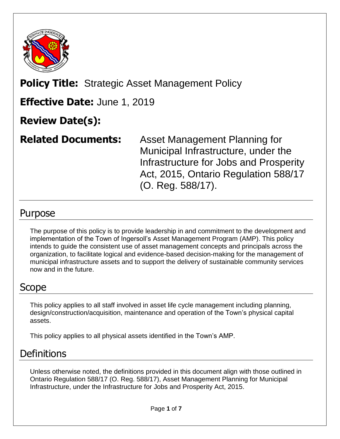

# **Policy Title:** Strategic Asset Management Policy

### **Effective Date:** June 1, 2019

# **Review Date(s):**

**Related Documents:** Asset Management Planning for Municipal Infrastructure, under the Infrastructure for Jobs and Prosperity Act, 2015, Ontario Regulation 588/17 (O. Reg. 588/17).

### Purpose

The purpose of this policy is to provide leadership in and commitment to the development and implementation of the Town of Ingersoll's Asset Management Program (AMP). This policy intends to guide the consistent use of asset management concepts and principals across the organization, to facilitate logical and evidence-based decision-making for the management of municipal infrastructure assets and to support the delivery of sustainable community services now and in the future.

### Scope

This policy applies to all staff involved in asset life cycle management including planning, design/construction/acquisition, maintenance and operation of the Town's physical capital assets.

This policy applies to all physical assets identified in the Town's AMP.

# **Definitions**

Unless otherwise noted, the definitions provided in this document align with those outlined in Ontario Regulation 588/17 (O. Reg. 588/17), Asset Management Planning for Municipal Infrastructure, under the Infrastructure for Jobs and Prosperity Act, 2015.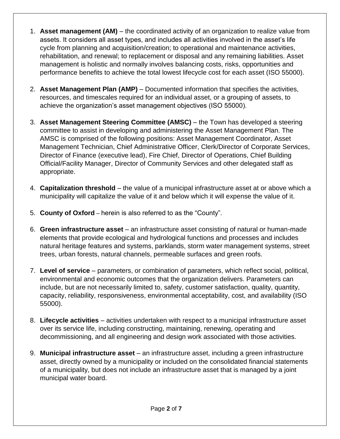- 1. **Asset management (AM)** the coordinated activity of an organization to realize value from assets. It considers all asset types, and includes all activities involved in the asset's life cycle from planning and acquisition/creation; to operational and maintenance activities, rehabilitation, and renewal; to replacement or disposal and any remaining liabilities. Asset management is holistic and normally involves balancing costs, risks, opportunities and performance benefits to achieve the total lowest lifecycle cost for each asset (ISO 55000).
- 2. **Asset Management Plan (AMP)** Documented information that specifies the activities, resources, and timescales required for an individual asset, or a grouping of assets, to achieve the organization's asset management objectives (ISO 55000).
- 3. **Asset Management Steering Committee (AMSC)** the Town has developed a steering committee to assist in developing and administering the Asset Management Plan. The AMSC is comprised of the following positions: Asset Management Coordinator, Asset Management Technician, Chief Administrative Officer, Clerk/Director of Corporate Services, Director of Finance (executive lead), Fire Chief, Director of Operations, Chief Building Official/Facility Manager, Director of Community Services and other delegated staff as appropriate.
- 4. **Capitalization threshold** the value of a municipal infrastructure asset at or above which a municipality will capitalize the value of it and below which it will expense the value of it.
- 5. **County of Oxford** *–* herein is also referred to as the "County".
- 6. **Green infrastructure asset** an infrastructure asset consisting of natural or human-made elements that provide ecological and hydrological functions and processes and includes natural heritage features and systems, parklands, storm water management systems, street trees, urban forests, natural channels, permeable surfaces and green roofs.
- 7. **Level of service** parameters, or combination of parameters, which reflect social, political, environmental and economic outcomes that the organization delivers. Parameters can include, but are not necessarily limited to, safety, customer satisfaction, quality, quantity, capacity, reliability, responsiveness, environmental acceptability, cost, and availability (ISO 55000).
- 8. **Lifecycle activities** activities undertaken with respect to a municipal infrastructure asset over its service life, including constructing, maintaining, renewing, operating and decommissioning, and all engineering and design work associated with those activities.
- 9. **Municipal infrastructure asset** an infrastructure asset, including a green infrastructure asset, directly owned by a municipality or included on the consolidated financial statements of a municipality, but does not include an infrastructure asset that is managed by a joint municipal water board.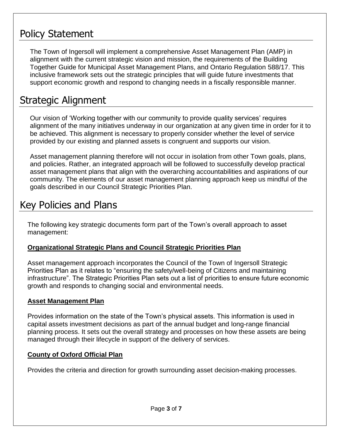### Policy Statement

The Town of Ingersoll will implement a comprehensive Asset Management Plan (AMP) in alignment with the current strategic vision and mission, the requirements of the Building Together Guide for Municipal Asset Management Plans, and Ontario Regulation 588/17. This inclusive framework sets out the strategic principles that will guide future investments that support economic growth and respond to changing needs in a fiscally responsible manner.

# Strategic Alignment

Our vision of 'Working together with our community to provide quality services' requires alignment of the many initiatives underway in our organization at any given time in order for it to be achieved. This alignment is necessary to properly consider whether the level of service provided by our existing and planned assets is congruent and supports our vision.

Asset management planning therefore will not occur in isolation from other Town goals, plans, and policies. Rather, an integrated approach will be followed to successfully develop practical asset management plans that align with the overarching accountabilities and aspirations of our community. The elements of our asset management planning approach keep us mindful of the goals described in our Council Strategic Priorities Plan.

### Key Policies and Plans

The following key strategic documents form part of the Town's overall approach to asset management:

### **Organizational Strategic Plans and Council Strategic Priorities Plan**

Asset management approach incorporates the Council of the Town of Ingersoll Strategic Priorities Plan as it relates to "ensuring the safety/well-being of Citizens and maintaining infrastructure". The Strategic Priorities Plan sets out a list of priorities to ensure future economic growth and responds to changing social and environmental needs.

### **Asset Management Plan**

Provides information on the state of the Town's physical assets. This information is used in capital assets investment decisions as part of the annual budget and long-range financial planning process. It sets out the overall strategy and processes on how these assets are being managed through their lifecycle in support of the delivery of services.

### **County of Oxford Official Plan**

Provides the criteria and direction for growth surrounding asset decision-making processes.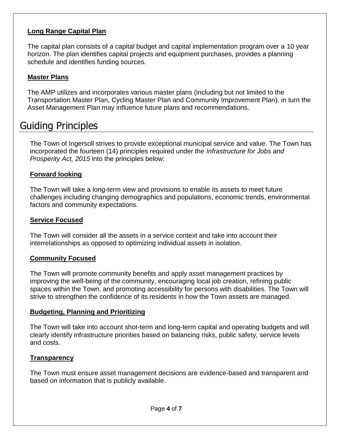### **Long Range Capital Plan**

The capital plan consists of a capital budget and capital implementation program over a 10 year horizon. The plan identifies capital projects and equipment purchases, provides a planning schedule and identifies funding sources.

#### **Master Plans**

The AMP utilizes and incorporates various master plans (including but not limited to the Transportation Master Plan, Cycling Master Plan and Community Improvement Plan), in turn the Asset Management Plan may influence future plans and recommendations.

### Guiding Principles

The Town of Ingersoll strives to provide exceptional municipal service and value. The Town has incorporated the fourteen (14) principles required under the *Infrastructure for Jobs and Prosperity Act, 2015* into the principles below:

#### **Forward looking**

The Town will take a long-term view and provisions to enable its assets to meet future challenges including changing demographics and populations, economic trends, environmental factors and community expectations.

#### **Service Focused**

The Town will consider all the assets in a service context and take into account their interrelationships as opposed to optimizing individual assets in isolation.

#### **Community Focused**

The Town will promote community benefits and apply asset management practices by improving the well-being of the community, encouraging local job creation, refining public spaces within the Town, and promoting accessibility for persons with disabilities. The Town will strive to strengthen the confidence of its residents in how the Town assets are managed.

#### **Budgeting, Planning and Prioritizing**

The Town will take into account shot-term and long-term capital and operating budgets and will clearly identify infrastructure priorities based on balancing risks, public safety, service levels and costs.

#### **Transparency**

The Town must ensure asset management decisions are evidence-based and transparent and based on information that is publicly available.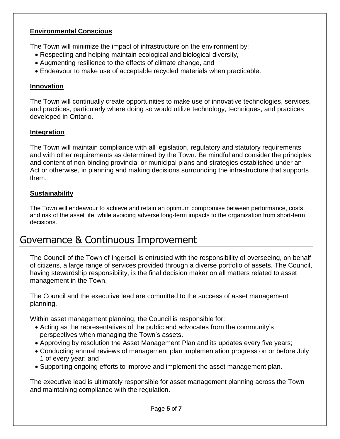### **Environmental Conscious**

The Town will minimize the impact of infrastructure on the environment by:

- Respecting and helping maintain ecological and biological diversity,
- Augmenting resilience to the effects of climate change, and
- Endeavour to make use of acceptable recycled materials when practicable.

#### **Innovation**

The Town will continually create opportunities to make use of innovative technologies, services, and practices, particularly where doing so would utilize technology, techniques, and practices developed in Ontario.

#### **Integration**

The Town will maintain compliance with all legislation, regulatory and statutory requirements and with other requirements as determined by the Town. Be mindful and consider the principles and content of non-binding provincial or municipal plans and strategies established under an Act or otherwise, in planning and making decisions surrounding the infrastructure that supports them.

#### **Sustainability**

The Town will endeavour to achieve and retain an optimum compromise between performance, costs and risk of the asset life, while avoiding adverse long-term impacts to the organization from short-term decisions.

### Governance & Continuous Improvement

The Council of the Town of Ingersoll is entrusted with the responsibility of overseeing, on behalf of citizens, a large range of services provided through a diverse portfolio of assets. The Council, having stewardship responsibility, is the final decision maker on all matters related to asset management in the Town.

The Council and the executive lead are committed to the success of asset management planning.

Within asset management planning, the Council is responsible for:

- Acting as the representatives of the public and advocates from the community's perspectives when managing the Town's assets.
- Approving by resolution the Asset Management Plan and its updates every five years;
- Conducting annual reviews of management plan implementation progress on or before July 1 of every year; and
- Supporting ongoing efforts to improve and implement the asset management plan.

The executive lead is ultimately responsible for asset management planning across the Town and maintaining compliance with the regulation.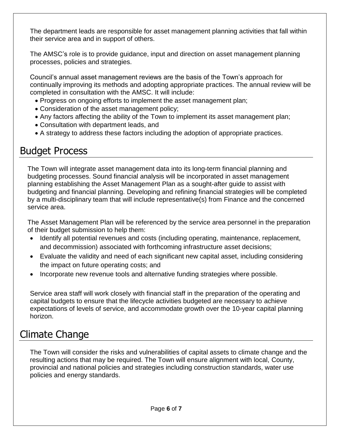The department leads are responsible for asset management planning activities that fall within their service area and in support of others.

The AMSC's role is to provide guidance, input and direction on asset management planning processes, policies and strategies.

Council's annual asset management reviews are the basis of the Town's approach for continually improving its methods and adopting appropriate practices. The annual review will be completed in consultation with the AMSC. It will include:

- Progress on ongoing efforts to implement the asset management plan;
- Consideration of the asset management policy;
- Any factors affecting the ability of the Town to implement its asset management plan;
- Consultation with department leads, and
- A strategy to address these factors including the adoption of appropriate practices.

### Budget Process

The Town will integrate asset management data into its long-term financial planning and budgeting processes. Sound financial analysis will be incorporated in asset management planning establishing the Asset Management Plan as a sought-after guide to assist with budgeting and financial planning. Developing and refining financial strategies will be completed by a multi-disciplinary team that will include representative(s) from Finance and the concerned service area.

The Asset Management Plan will be referenced by the service area personnel in the preparation of their budget submission to help them:

- Identify all potential revenues and costs (including operating, maintenance, replacement, and decommission) associated with forthcoming infrastructure asset decisions;
- Evaluate the validity and need of each significant new capital asset, including considering the impact on future operating costs; and
- Incorporate new revenue tools and alternative funding strategies where possible.

Service area staff will work closely with financial staff in the preparation of the operating and capital budgets to ensure that the lifecycle activities budgeted are necessary to achieve expectations of levels of service, and accommodate growth over the 10-year capital planning horizon.

### Climate Change

The Town will consider the risks and vulnerabilities of capital assets to climate change and the resulting actions that may be required. The Town will ensure alignment with local, County, provincial and national policies and strategies including construction standards, water use policies and energy standards.